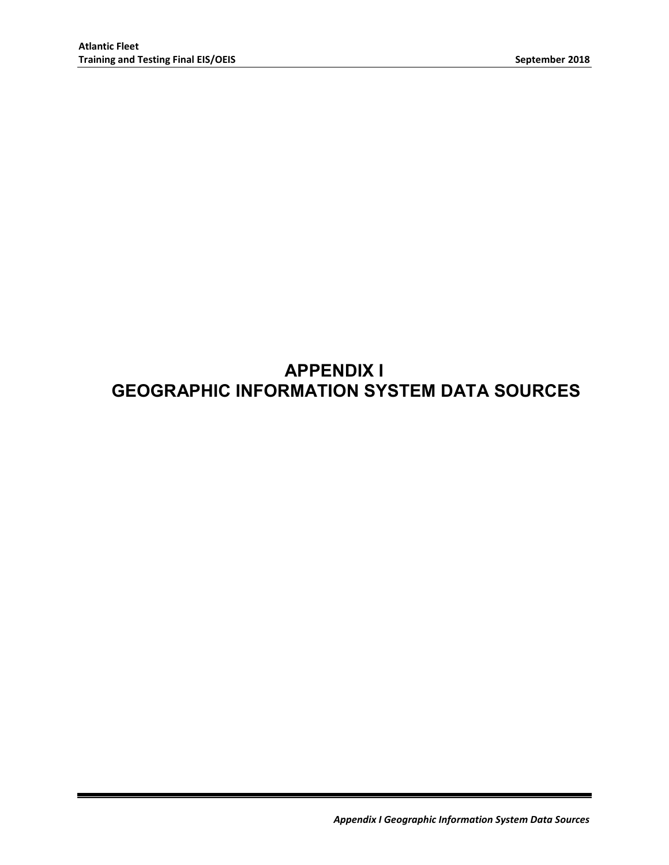# **APPENDIX I GEOGRAPHIC INFORMATION SYSTEM DATA SOURCES**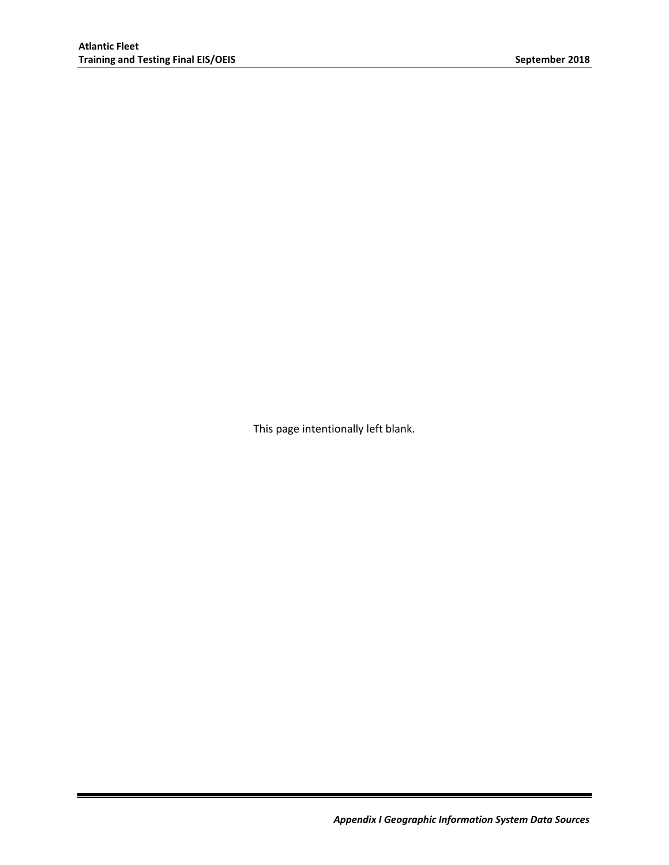This page intentionally left blank.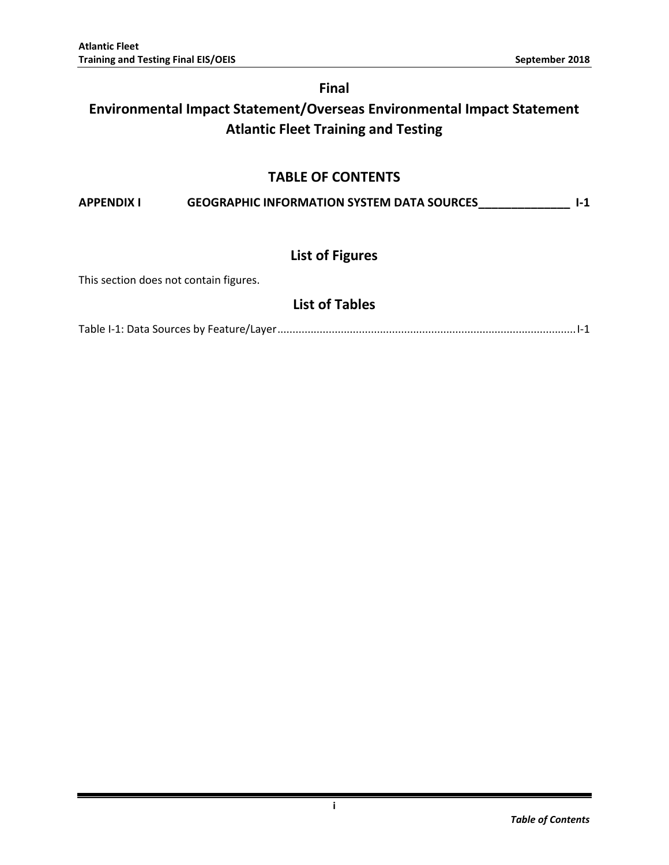#### **Final**

## **Environmental Impact Statement/Overseas Environmental Impact Statement Atlantic Fleet Training and Testing**

#### **TABLE OF CONTENTS**

**APPENDIX I [GEOGRAPHIC INFORMATION SYSTEM DATA SOURCES\\_\\_\\_\\_\\_\\_\\_\\_\\_\\_\\_\\_\\_\\_](#page-4-0) I-1**

#### **List of Figures**

This section does not contain figures.

### **List of Tables**

|--|--|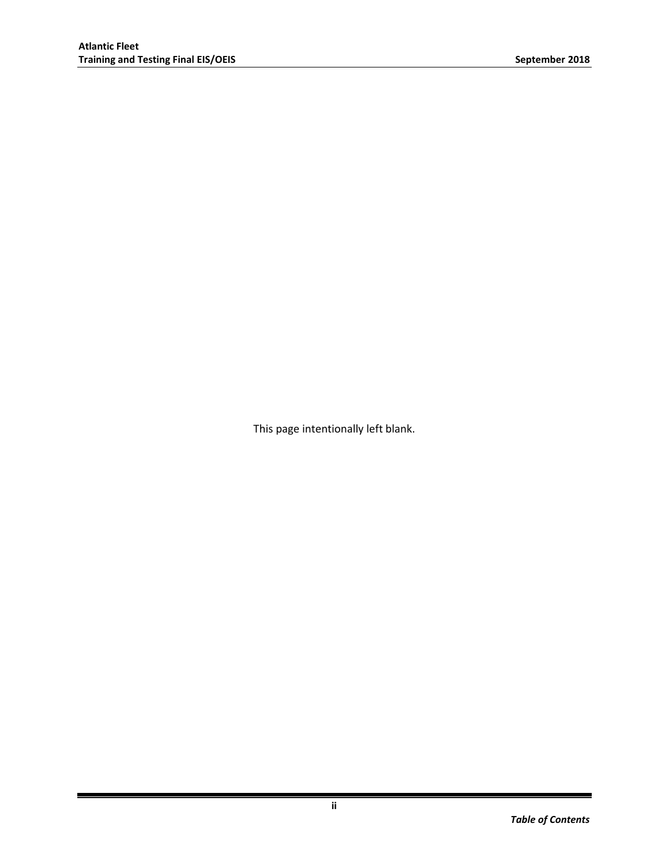This page intentionally left blank.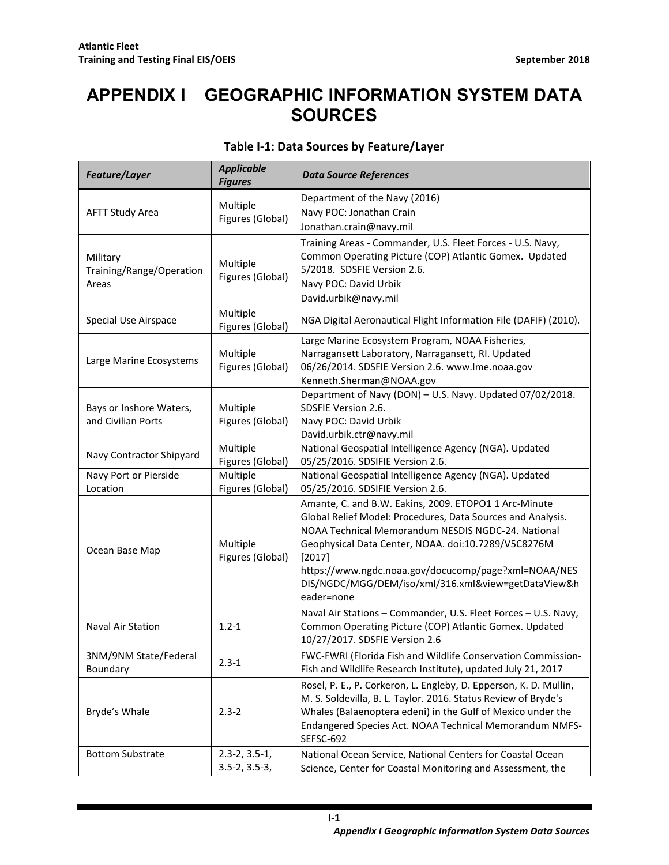# <span id="page-4-0"></span>**APPENDIX I GEOGRAPHIC INFORMATION SYSTEM DATA SOURCES**

#### **Table I-1: Data Sources by Feature/Layer**

<span id="page-4-1"></span>

| Feature/Layer                                 | <b>Applicable</b><br><b>Figures</b>        | <b>Data Source References</b>                                                                                                                                                                                                                                                                                                                                            |
|-----------------------------------------------|--------------------------------------------|--------------------------------------------------------------------------------------------------------------------------------------------------------------------------------------------------------------------------------------------------------------------------------------------------------------------------------------------------------------------------|
| <b>AFTT Study Area</b>                        | Multiple<br>Figures (Global)               | Department of the Navy (2016)                                                                                                                                                                                                                                                                                                                                            |
|                                               |                                            | Navy POC: Jonathan Crain                                                                                                                                                                                                                                                                                                                                                 |
|                                               |                                            | Jonathan.crain@navy.mil                                                                                                                                                                                                                                                                                                                                                  |
| Military<br>Training/Range/Operation<br>Areas | Multiple<br>Figures (Global)               | Training Areas - Commander, U.S. Fleet Forces - U.S. Navy,<br>Common Operating Picture (COP) Atlantic Gomex. Updated<br>5/2018. SDSFIE Version 2.6.<br>Navy POC: David Urbik<br>David.urbik@navy.mil                                                                                                                                                                     |
| <b>Special Use Airspace</b>                   | Multiple<br>Figures (Global)               | NGA Digital Aeronautical Flight Information File (DAFIF) (2010).                                                                                                                                                                                                                                                                                                         |
| Large Marine Ecosystems                       | Multiple<br>Figures (Global)               | Large Marine Ecosystem Program, NOAA Fisheries,<br>Narragansett Laboratory, Narragansett, RI. Updated<br>06/26/2014. SDSFIE Version 2.6. www.lme.noaa.gov<br>Kenneth.Sherman@NOAA.gov                                                                                                                                                                                    |
| Bays or Inshore Waters,<br>and Civilian Ports | Multiple<br>Figures (Global)               | Department of Navy (DON) - U.S. Navy. Updated 07/02/2018.<br><b>SDSFIE Version 2.6.</b><br>Navy POC: David Urbik<br>David.urbik.ctr@navy.mil                                                                                                                                                                                                                             |
| Navy Contractor Shipyard                      | Multiple<br>Figures (Global)               | National Geospatial Intelligence Agency (NGA). Updated<br>05/25/2016. SDSIFIE Version 2.6.                                                                                                                                                                                                                                                                               |
| Navy Port or Pierside<br>Location             | Multiple<br>Figures (Global)               | National Geospatial Intelligence Agency (NGA). Updated<br>05/25/2016. SDSIFIE Version 2.6.                                                                                                                                                                                                                                                                               |
| Ocean Base Map                                | Multiple<br>Figures (Global)               | Amante, C. and B.W. Eakins, 2009. ETOPO1 1 Arc-Minute<br>Global Relief Model: Procedures, Data Sources and Analysis.<br>NOAA Technical Memorandum NESDIS NGDC-24. National<br>Geophysical Data Center, NOAA. doi:10.7289/V5C8276M<br>[2017]<br>https://www.ngdc.noaa.gov/docucomp/page?xml=NOAA/NES<br>DIS/NGDC/MGG/DEM/iso/xml/316.xml&view=getDataView&h<br>eader=none |
| <b>Naval Air Station</b>                      | $1.2 - 1$                                  | Naval Air Stations - Commander, U.S. Fleet Forces - U.S. Navy,<br>Common Operating Picture (COP) Atlantic Gomex. Updated<br>10/27/2017. SDSFIE Version 2.6                                                                                                                                                                                                               |
| 3NM/9NM State/Federal<br>Boundary             | $2.3 - 1$                                  | FWC-FWRI (Florida Fish and Wildlife Conservation Commission-<br>Fish and Wildlife Research Institute), updated July 21, 2017                                                                                                                                                                                                                                             |
| Bryde's Whale                                 | $2.3 - 2$                                  | Rosel, P. E., P. Corkeron, L. Engleby, D. Epperson, K. D. Mullin,<br>M. S. Soldevilla, B. L. Taylor. 2016. Status Review of Bryde's<br>Whales (Balaenoptera edeni) in the Gulf of Mexico under the<br>Endangered Species Act. NOAA Technical Memorandum NMFS-<br>SEFSC-692                                                                                               |
| <b>Bottom Substrate</b>                       | $2.3 - 2, 3.5 - 1,$<br>$3.5 - 2, 3.5 - 3,$ | National Ocean Service, National Centers for Coastal Ocean<br>Science, Center for Coastal Monitoring and Assessment, the                                                                                                                                                                                                                                                 |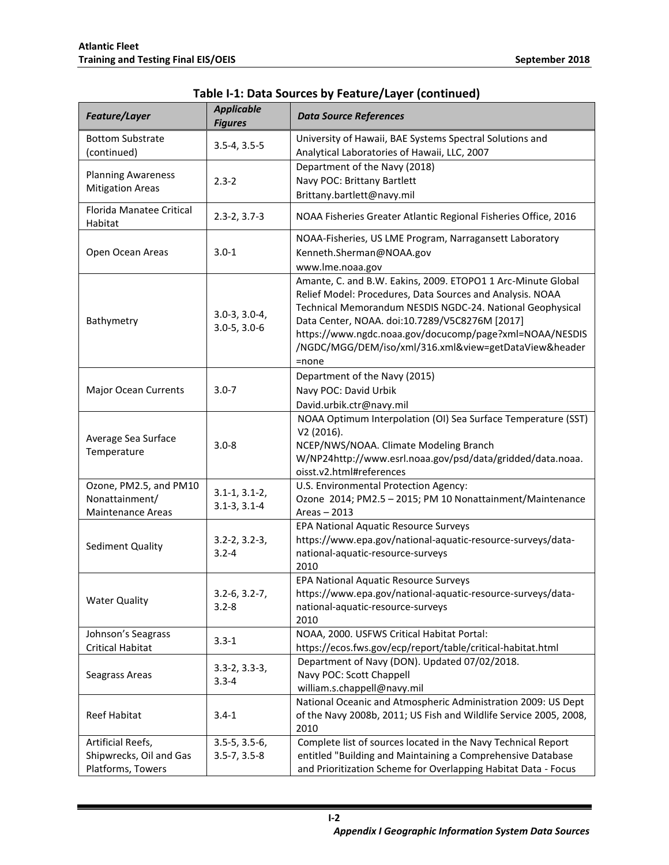| Feature/Layer                                                        | <b>Applicable</b><br><b>Figures</b>       | <b>Data Source References</b>                                                                                                                                                                                                                                                                                                                                            |
|----------------------------------------------------------------------|-------------------------------------------|--------------------------------------------------------------------------------------------------------------------------------------------------------------------------------------------------------------------------------------------------------------------------------------------------------------------------------------------------------------------------|
| <b>Bottom Substrate</b><br>(continued)                               | $3.5 - 4, 3.5 - 5$                        | University of Hawaii, BAE Systems Spectral Solutions and<br>Analytical Laboratories of Hawaii, LLC, 2007                                                                                                                                                                                                                                                                 |
| <b>Planning Awareness</b><br><b>Mitigation Areas</b>                 | $2.3 - 2$                                 | Department of the Navy (2018)<br>Navy POC: Brittany Bartlett<br>Brittany.bartlett@navy.mil                                                                                                                                                                                                                                                                               |
| Florida Manatee Critical<br>Habitat                                  | $2.3 - 2, 3.7 - 3$                        | NOAA Fisheries Greater Atlantic Regional Fisheries Office, 2016                                                                                                                                                                                                                                                                                                          |
| Open Ocean Areas                                                     | $3.0 - 1$                                 | NOAA-Fisheries, US LME Program, Narragansett Laboratory<br>Kenneth.Sherman@NOAA.gov<br>www.lme.noaa.gov                                                                                                                                                                                                                                                                  |
| Bathymetry                                                           | $3.0 - 3, 3.0 - 4,$<br>$3.0 - 5, 3.0 - 6$ | Amante, C. and B.W. Eakins, 2009. ETOPO1 1 Arc-Minute Global<br>Relief Model: Procedures, Data Sources and Analysis. NOAA<br>Technical Memorandum NESDIS NGDC-24. National Geophysical<br>Data Center, NOAA. doi:10.7289/V5C8276M [2017]<br>https://www.ngdc.noaa.gov/docucomp/page?xml=NOAA/NESDIS<br>/NGDC/MGG/DEM/iso/xml/316.xml&view=getDataView&header<br>$=$ none |
| <b>Major Ocean Currents</b>                                          | $3.0 - 7$                                 | Department of the Navy (2015)<br>Navy POC: David Urbik<br>David.urbik.ctr@navy.mil                                                                                                                                                                                                                                                                                       |
| Average Sea Surface<br>Temperature                                   | $3.0 - 8$                                 | NOAA Optimum Interpolation (OI) Sea Surface Temperature (SST)<br>V2(2016).<br>NCEP/NWS/NOAA. Climate Modeling Branch<br>W/NP24http://www.esrl.noaa.gov/psd/data/gridded/data.noaa.<br>oisst.v2.html#references                                                                                                                                                           |
| Ozone, PM2.5, and PM10<br>Nonattainment/<br><b>Maintenance Areas</b> | $3.1 - 1, 3.1 - 2,$<br>$3.1 - 3, 3.1 - 4$ | U.S. Environmental Protection Agency:<br>Ozone 2014; PM2.5 - 2015; PM 10 Nonattainment/Maintenance<br>Areas $-2013$                                                                                                                                                                                                                                                      |
| Sediment Quality                                                     | $3.2 - 2, 3.2 - 3,$<br>$3.2 - 4$          | EPA National Aquatic Resource Surveys<br>https://www.epa.gov/national-aquatic-resource-surveys/data-<br>national-aquatic-resource-surveys<br>2010                                                                                                                                                                                                                        |
| <b>Water Quality</b>                                                 | $3.2 - 6, 3.2 - 7,$<br>$3.2 - 8$          | EPA National Aquatic Resource Surveys<br>https://www.epa.gov/national-aquatic-resource-surveys/data-<br>national-aquatic-resource-surveys<br>2010                                                                                                                                                                                                                        |
| Johnson's Seagrass<br><b>Critical Habitat</b>                        | $3.3 - 1$                                 | NOAA, 2000. USFWS Critical Habitat Portal:<br>https://ecos.fws.gov/ecp/report/table/critical-habitat.html                                                                                                                                                                                                                                                                |
| Seagrass Areas                                                       | $3.3 - 2, 3.3 - 3,$<br>$3.3 - 4$          | Department of Navy (DON). Updated 07/02/2018.<br>Navy POC: Scott Chappell<br>william.s.chappell@navy.mil                                                                                                                                                                                                                                                                 |
| <b>Reef Habitat</b>                                                  | $3.4 - 1$                                 | National Oceanic and Atmospheric Administration 2009: US Dept<br>of the Navy 2008b, 2011; US Fish and Wildlife Service 2005, 2008,<br>2010                                                                                                                                                                                                                               |
| Artificial Reefs,<br>Shipwrecks, Oil and Gas<br>Platforms, Towers    | $3.5 - 5, 3.5 - 6,$<br>$3.5 - 7, 3.5 - 8$ | Complete list of sources located in the Navy Technical Report<br>entitled "Building and Maintaining a Comprehensive Database<br>and Prioritization Scheme for Overlapping Habitat Data - Focus                                                                                                                                                                           |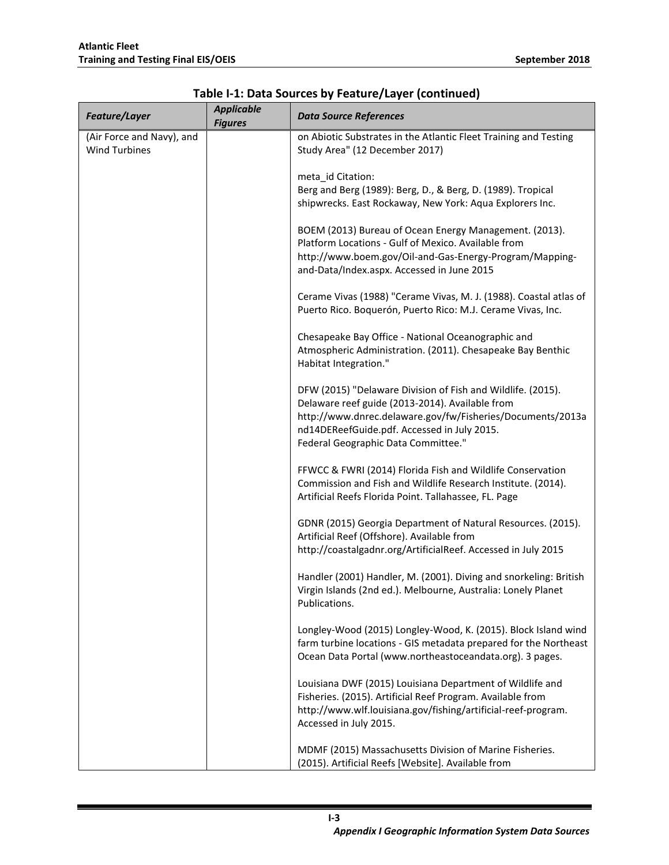| Feature/Layer             | <b>Applicable</b><br><b>Figures</b> | <b>Data Source References</b>                                     |
|---------------------------|-------------------------------------|-------------------------------------------------------------------|
| (Air Force and Navy), and |                                     | on Abiotic Substrates in the Atlantic Fleet Training and Testing  |
| <b>Wind Turbines</b>      |                                     | Study Area" (12 December 2017)                                    |
|                           |                                     | meta_id Citation:                                                 |
|                           |                                     | Berg and Berg (1989): Berg, D., & Berg, D. (1989). Tropical       |
|                           |                                     | shipwrecks. East Rockaway, New York: Aqua Explorers Inc.          |
|                           |                                     | BOEM (2013) Bureau of Ocean Energy Management. (2013).            |
|                           |                                     | Platform Locations - Gulf of Mexico. Available from               |
|                           |                                     | http://www.boem.gov/Oil-and-Gas-Energy-Program/Mapping-           |
|                           |                                     | and-Data/Index.aspx. Accessed in June 2015                        |
|                           |                                     | Cerame Vivas (1988) "Cerame Vivas, M. J. (1988). Coastal atlas of |
|                           |                                     | Puerto Rico. Boquerón, Puerto Rico: M.J. Cerame Vivas, Inc.       |
|                           |                                     | Chesapeake Bay Office - National Oceanographic and                |
|                           |                                     | Atmospheric Administration. (2011). Chesapeake Bay Benthic        |
|                           |                                     | Habitat Integration."                                             |
|                           |                                     | DFW (2015) "Delaware Division of Fish and Wildlife. (2015).       |
|                           |                                     | Delaware reef guide (2013-2014). Available from                   |
|                           |                                     | http://www.dnrec.delaware.gov/fw/Fisheries/Documents/2013a        |
|                           |                                     | nd14DEReefGuide.pdf. Accessed in July 2015.                       |
|                           |                                     | Federal Geographic Data Committee."                               |
|                           |                                     | FFWCC & FWRI (2014) Florida Fish and Wildlife Conservation        |
|                           |                                     | Commission and Fish and Wildlife Research Institute. (2014).      |
|                           |                                     | Artificial Reefs Florida Point. Tallahassee, FL. Page             |
|                           |                                     | GDNR (2015) Georgia Department of Natural Resources. (2015).      |
|                           |                                     | Artificial Reef (Offshore). Available from                        |
|                           |                                     | http://coastalgadnr.org/ArtificialReef. Accessed in July 2015     |
|                           |                                     | Handler (2001) Handler, M. (2001). Diving and snorkeling: British |
|                           |                                     | Virgin Islands (2nd ed.). Melbourne, Australia: Lonely Planet     |
|                           |                                     | Publications.                                                     |
|                           |                                     | Longley-Wood (2015) Longley-Wood, K. (2015). Block Island wind    |
|                           |                                     | farm turbine locations - GIS metadata prepared for the Northeast  |
|                           |                                     | Ocean Data Portal (www.northeastoceandata.org). 3 pages.          |
|                           |                                     | Louisiana DWF (2015) Louisiana Department of Wildlife and         |
|                           |                                     | Fisheries. (2015). Artificial Reef Program. Available from        |
|                           |                                     | http://www.wlf.louisiana.gov/fishing/artificial-reef-program.     |
|                           |                                     | Accessed in July 2015.                                            |
|                           |                                     | MDMF (2015) Massachusetts Division of Marine Fisheries.           |
|                           |                                     | (2015). Artificial Reefs [Website]. Available from                |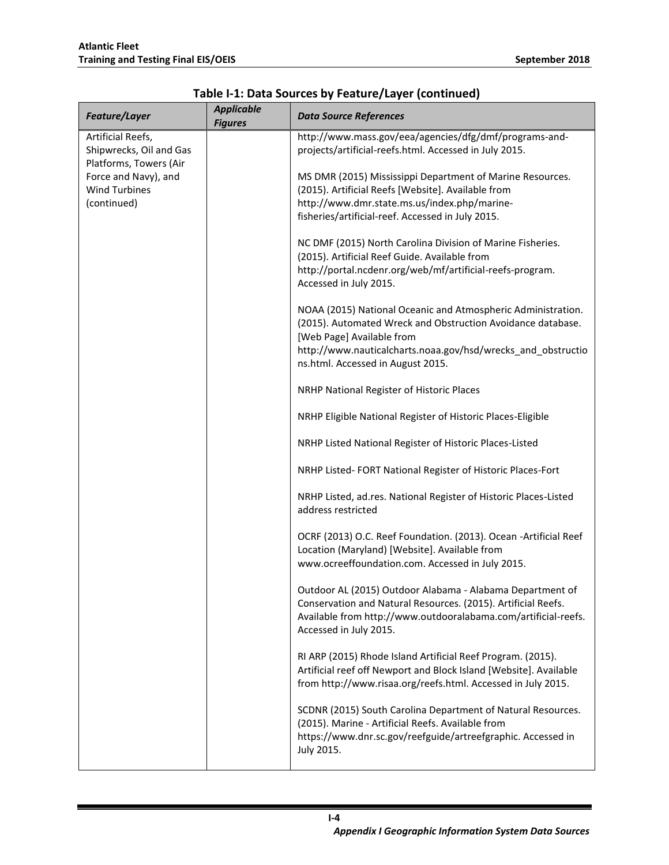| Feature/Layer                                     | <b>Applicable</b><br><b>Figures</b> | <b>Data Source References</b>                                                                                                                                                                                          |
|---------------------------------------------------|-------------------------------------|------------------------------------------------------------------------------------------------------------------------------------------------------------------------------------------------------------------------|
| Artificial Reefs,                                 |                                     | http://www.mass.gov/eea/agencies/dfg/dmf/programs-and-                                                                                                                                                                 |
| Shipwrecks, Oil and Gas<br>Platforms, Towers (Air |                                     | projects/artificial-reefs.html. Accessed in July 2015.                                                                                                                                                                 |
| Force and Navy), and                              |                                     | MS DMR (2015) Mississippi Department of Marine Resources.                                                                                                                                                              |
| <b>Wind Turbines</b>                              |                                     | (2015). Artificial Reefs [Website]. Available from                                                                                                                                                                     |
| (continued)                                       |                                     | http://www.dmr.state.ms.us/index.php/marine-                                                                                                                                                                           |
|                                                   |                                     | fisheries/artificial-reef. Accessed in July 2015.                                                                                                                                                                      |
|                                                   |                                     | NC DMF (2015) North Carolina Division of Marine Fisheries.<br>(2015). Artificial Reef Guide. Available from                                                                                                            |
|                                                   |                                     |                                                                                                                                                                                                                        |
|                                                   |                                     | http://portal.ncdenr.org/web/mf/artificial-reefs-program.<br>Accessed in July 2015.                                                                                                                                    |
|                                                   |                                     | NOAA (2015) National Oceanic and Atmospheric Administration.<br>(2015). Automated Wreck and Obstruction Avoidance database.                                                                                            |
|                                                   |                                     | [Web Page] Available from                                                                                                                                                                                              |
|                                                   |                                     | http://www.nauticalcharts.noaa.gov/hsd/wrecks and obstructio                                                                                                                                                           |
|                                                   |                                     | ns.html. Accessed in August 2015.                                                                                                                                                                                      |
|                                                   |                                     | NRHP National Register of Historic Places                                                                                                                                                                              |
|                                                   |                                     | NRHP Eligible National Register of Historic Places-Eligible                                                                                                                                                            |
|                                                   |                                     | NRHP Listed National Register of Historic Places-Listed                                                                                                                                                                |
|                                                   |                                     | NRHP Listed-FORT National Register of Historic Places-Fort                                                                                                                                                             |
|                                                   |                                     | NRHP Listed, ad.res. National Register of Historic Places-Listed<br>address restricted                                                                                                                                 |
|                                                   |                                     | OCRF (2013) O.C. Reef Foundation. (2013). Ocean -Artificial Reef<br>Location (Maryland) [Website]. Available from<br>www.ocreeffoundation.com. Accessed in July 2015.                                                  |
|                                                   |                                     | Outdoor AL (2015) Outdoor Alabama - Alabama Department of<br>Conservation and Natural Resources. (2015). Artificial Reefs.<br>Available from http://www.outdooralabama.com/artificial-reefs.<br>Accessed in July 2015. |
|                                                   |                                     | RI ARP (2015) Rhode Island Artificial Reef Program. (2015).<br>Artificial reef off Newport and Block Island [Website]. Available<br>from http://www.risaa.org/reefs.html. Accessed in July 2015.                       |
|                                                   |                                     | SCDNR (2015) South Carolina Department of Natural Resources.<br>(2015). Marine - Artificial Reefs. Available from<br>https://www.dnr.sc.gov/reefguide/artreefgraphic. Accessed in<br>July 2015.                        |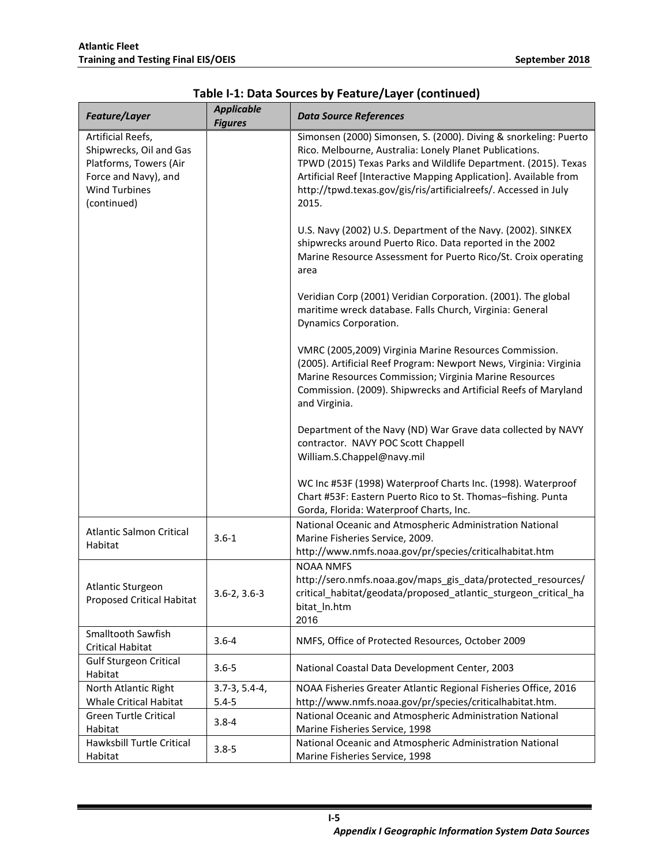| Feature/Layer                                                                                                                         | <b>Applicable</b><br><b>Figures</b> | <b>Data Source References</b>                                                                                                                                                                                                                                                                                                                   |
|---------------------------------------------------------------------------------------------------------------------------------------|-------------------------------------|-------------------------------------------------------------------------------------------------------------------------------------------------------------------------------------------------------------------------------------------------------------------------------------------------------------------------------------------------|
| Artificial Reefs,<br>Shipwrecks, Oil and Gas<br>Platforms, Towers (Air<br>Force and Navy), and<br><b>Wind Turbines</b><br>(continued) |                                     | Simonsen (2000) Simonsen, S. (2000). Diving & snorkeling: Puerto<br>Rico. Melbourne, Australia: Lonely Planet Publications.<br>TPWD (2015) Texas Parks and Wildlife Department. (2015). Texas<br>Artificial Reef [Interactive Mapping Application]. Available from<br>http://tpwd.texas.gov/gis/ris/artificialreefs/. Accessed in July<br>2015. |
|                                                                                                                                       |                                     | U.S. Navy (2002) U.S. Department of the Navy. (2002). SINKEX<br>shipwrecks around Puerto Rico. Data reported in the 2002<br>Marine Resource Assessment for Puerto Rico/St. Croix operating<br>area                                                                                                                                              |
|                                                                                                                                       |                                     | Veridian Corp (2001) Veridian Corporation. (2001). The global<br>maritime wreck database. Falls Church, Virginia: General<br><b>Dynamics Corporation.</b>                                                                                                                                                                                       |
|                                                                                                                                       |                                     | VMRC (2005,2009) Virginia Marine Resources Commission.<br>(2005). Artificial Reef Program: Newport News, Virginia: Virginia<br>Marine Resources Commission; Virginia Marine Resources<br>Commission. (2009). Shipwrecks and Artificial Reefs of Maryland<br>and Virginia.                                                                       |
|                                                                                                                                       |                                     | Department of the Navy (ND) War Grave data collected by NAVY<br>contractor. NAVY POC Scott Chappell<br>William.S.Chappel@navy.mil                                                                                                                                                                                                               |
|                                                                                                                                       |                                     | WC Inc #53F (1998) Waterproof Charts Inc. (1998). Waterproof<br>Chart #53F: Eastern Puerto Rico to St. Thomas-fishing. Punta<br>Gorda, Florida: Waterproof Charts, Inc.                                                                                                                                                                         |
| <b>Atlantic Salmon Critical</b><br>Habitat                                                                                            | $3.6 - 1$                           | National Oceanic and Atmospheric Administration National<br>Marine Fisheries Service, 2009.<br>http://www.nmfs.noaa.gov/pr/species/criticalhabitat.htm                                                                                                                                                                                          |
| <b>Atlantic Sturgeon</b><br><b>Proposed Critical Habitat</b>                                                                          | $3.6 - 2, 3.6 - 3$                  | <b>NOAA NMFS</b><br>http://sero.nmfs.noaa.gov/maps_gis_data/protected_resources/<br>critical_habitat/geodata/proposed_atlantic_sturgeon_critical_ha<br>bitat_In.htm<br>2016                                                                                                                                                                     |
| Smalltooth Sawfish<br><b>Critical Habitat</b>                                                                                         | $3.6 - 4$                           | NMFS, Office of Protected Resources, October 2009                                                                                                                                                                                                                                                                                               |
| <b>Gulf Sturgeon Critical</b><br>Habitat                                                                                              | $3.6 - 5$                           | National Coastal Data Development Center, 2003                                                                                                                                                                                                                                                                                                  |
| North Atlantic Right<br><b>Whale Critical Habitat</b>                                                                                 | $3.7 - 3, 5.4 - 4,$                 | NOAA Fisheries Greater Atlantic Regional Fisheries Office, 2016<br>http://www.nmfs.noaa.gov/pr/species/criticalhabitat.htm.                                                                                                                                                                                                                     |
| <b>Green Turtle Critical</b>                                                                                                          | $5.4 - 5$<br>$3.8 - 4$              | National Oceanic and Atmospheric Administration National                                                                                                                                                                                                                                                                                        |
| Habitat<br>Hawksbill Turtle Critical<br>Habitat                                                                                       | $3.8 - 5$                           | Marine Fisheries Service, 1998<br>National Oceanic and Atmospheric Administration National<br>Marine Fisheries Service, 1998                                                                                                                                                                                                                    |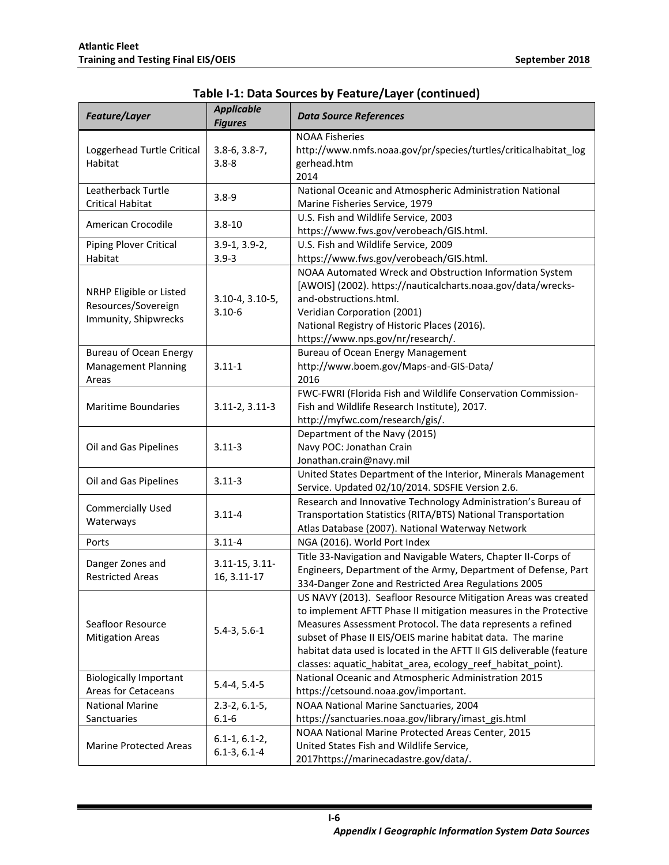| Feature/Layer                               | <b>Applicable</b><br><b>Figures</b> | <b>Data Source References</b>                                                                                                   |
|---------------------------------------------|-------------------------------------|---------------------------------------------------------------------------------------------------------------------------------|
|                                             |                                     | <b>NOAA Fisheries</b>                                                                                                           |
| Loggerhead Turtle Critical<br>Habitat       | $3.8 - 6, 3.8 - 7,$<br>$3.8 - 8$    | http://www.nmfs.noaa.gov/pr/species/turtles/criticalhabitat_log<br>gerhead.htm                                                  |
|                                             |                                     | 2014                                                                                                                            |
| Leatherback Turtle                          |                                     | National Oceanic and Atmospheric Administration National                                                                        |
| <b>Critical Habitat</b>                     | $3.8 - 9$                           | Marine Fisheries Service, 1979                                                                                                  |
| American Crocodile                          | $3.8 - 10$                          | U.S. Fish and Wildlife Service, 2003                                                                                            |
| Piping Plover Critical                      | $3.9 - 1, 3.9 - 2,$                 | https://www.fws.gov/verobeach/GIS.html.<br>U.S. Fish and Wildlife Service, 2009                                                 |
| Habitat                                     | $3.9 - 3$                           | https://www.fws.gov/verobeach/GIS.html.                                                                                         |
|                                             |                                     | NOAA Automated Wreck and Obstruction Information System                                                                         |
|                                             |                                     | [AWOIS] (2002). https://nauticalcharts.noaa.gov/data/wrecks-                                                                    |
| NRHP Eligible or Listed                     | $3.10-4, 3.10-5,$                   | and-obstructions.html.                                                                                                          |
| Resources/Sovereign<br>Immunity, Shipwrecks | $3.10 - 6$                          | Veridian Corporation (2001)                                                                                                     |
|                                             |                                     | National Registry of Historic Places (2016).                                                                                    |
|                                             |                                     | https://www.nps.gov/nr/research/.                                                                                               |
| <b>Bureau of Ocean Energy</b>               |                                     | <b>Bureau of Ocean Energy Management</b>                                                                                        |
| <b>Management Planning</b>                  | $3.11 - 1$                          | http://www.boem.gov/Maps-and-GIS-Data/                                                                                          |
| Areas                                       |                                     | 2016                                                                                                                            |
| <b>Maritime Boundaries</b>                  |                                     | FWC-FWRI (Florida Fish and Wildlife Conservation Commission-                                                                    |
|                                             | $3.11 - 2, 3.11 - 3$                | Fish and Wildlife Research Institute), 2017.                                                                                    |
|                                             | $3.11 - 3$                          | http://myfwc.com/research/gis/.<br>Department of the Navy (2015)                                                                |
| Oil and Gas Pipelines                       |                                     | Navy POC: Jonathan Crain                                                                                                        |
|                                             |                                     | Jonathan.crain@navy.mil                                                                                                         |
|                                             |                                     | United States Department of the Interior, Minerals Management                                                                   |
| Oil and Gas Pipelines                       | $3.11 - 3$                          | Service. Updated 02/10/2014. SDSFIE Version 2.6.                                                                                |
|                                             | $3.11 - 4$                          | Research and Innovative Technology Administration's Bureau of                                                                   |
| <b>Commercially Used</b><br>Waterways       |                                     | Transportation Statistics (RITA/BTS) National Transportation                                                                    |
|                                             |                                     | Atlas Database (2007). National Waterway Network                                                                                |
| Ports                                       | $3.11 - 4$                          | NGA (2016). World Port Index                                                                                                    |
| Danger Zones and                            | $3.11 - 15, 3.11 -$<br>16, 3.11-17  | Title 33-Navigation and Navigable Waters, Chapter II-Corps of                                                                   |
| <b>Restricted Areas</b>                     |                                     | Engineers, Department of the Army, Department of Defense, Part                                                                  |
|                                             |                                     | 334-Danger Zone and Restricted Area Regulations 2005                                                                            |
|                                             |                                     | US NAVY (2013). Seafloor Resource Mitigation Areas was created                                                                  |
| Seafloor Resource                           |                                     | to implement AFTT Phase II mitigation measures in the Protective<br>Measures Assessment Protocol. The data represents a refined |
| <b>Mitigation Areas</b>                     | $5.4-3, 5.6-1$                      | subset of Phase II EIS/OEIS marine habitat data. The marine                                                                     |
|                                             |                                     | habitat data used is located in the AFTT II GIS deliverable (feature                                                            |
|                                             |                                     | classes: aquatic_habitat_area, ecology_reef_habitat_point).                                                                     |
| <b>Biologically Important</b>               |                                     | National Oceanic and Atmospheric Administration 2015                                                                            |
| Areas for Cetaceans                         | $5.4 - 4, 5.4 - 5$                  | https://cetsound.noaa.gov/important.                                                                                            |
| <b>National Marine</b>                      | $2.3 - 2, 6.1 - 5,$                 | NOAA National Marine Sanctuaries, 2004                                                                                          |
| Sanctuaries                                 | $6.1 - 6$                           | https://sanctuaries.noaa.gov/library/imast_gis.html                                                                             |
|                                             | $6.1-1, 6.1-2,$                     | NOAA National Marine Protected Areas Center, 2015                                                                               |
| <b>Marine Protected Areas</b>               | $6.1-3, 6.1-4$                      | United States Fish and Wildlife Service,                                                                                        |
|                                             |                                     | 2017https://marinecadastre.gov/data/.                                                                                           |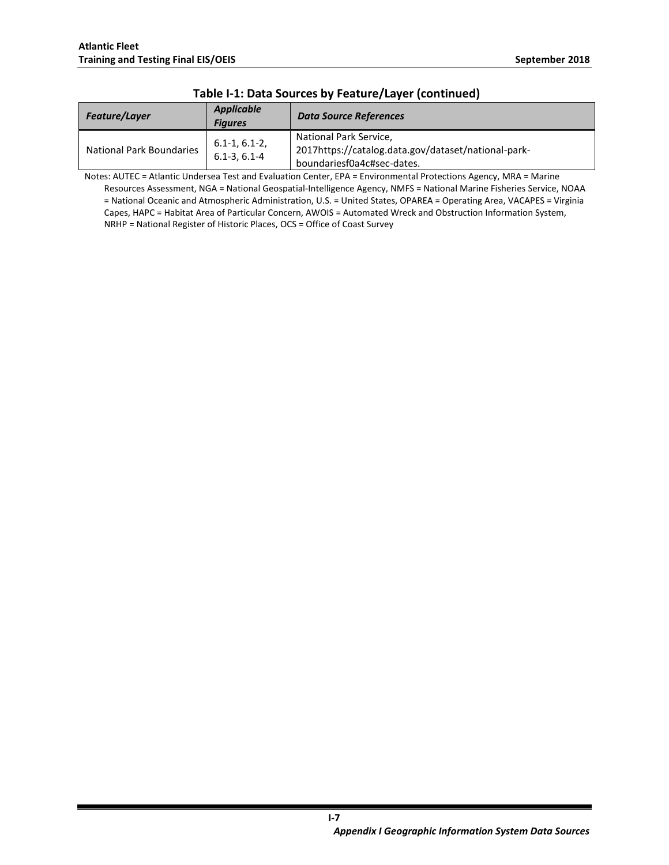| <b>Feature/Layer</b>            | <b>Applicable</b><br><b>Figures</b>     | <b>Data Source References</b>                                                                               |
|---------------------------------|-----------------------------------------|-------------------------------------------------------------------------------------------------------------|
| <b>National Park Boundaries</b> | $6.1 - 1.6.1 - 2.$<br>$6.1 - 3.6.1 - 4$ | National Park Service,<br>2017https://catalog.data.gov/dataset/national-park-<br>boundariesf0a4c#sec-dates. |

Notes: AUTEC = Atlantic Undersea Test and Evaluation Center, EPA = Environmental Protections Agency, MRA = Marine Resources Assessment, NGA = National Geospatial-Intelligence Agency, NMFS = National Marine Fisheries Service, NOAA = National Oceanic and Atmospheric Administration, U.S. = United States, OPAREA = Operating Area, VACAPES = Virginia Capes, HAPC = Habitat Area of Particular Concern, AWOIS = Automated Wreck and Obstruction Information System, NRHP = National Register of Historic Places, OCS = Office of Coast Survey